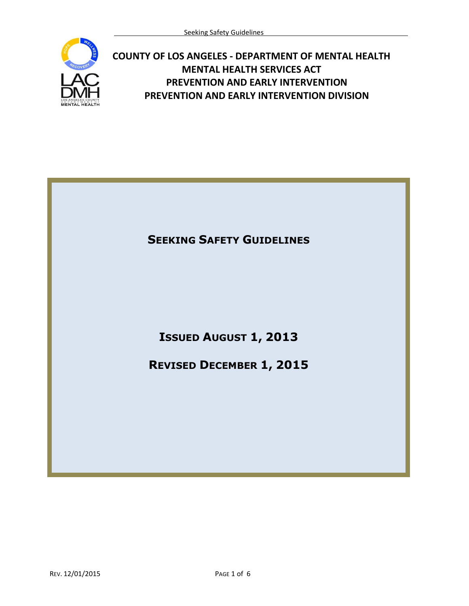

## **COUNTY OF LOS ANGELES - DEPARTMENT OF MENTAL HEALTH MENTAL HEALTH SERVICES ACT PREVENTION AND EARLY INTERVENTION PREVENTION AND EARLY INTERVENTION DIVISION**

## **SEEKING SAFETY GUIDELINES**

## **ISSUED AUGUST 1, 2013**

## **REVISED DECEMBER 1, 2015**

REV. 12/01/2015 PAGE 1 of 6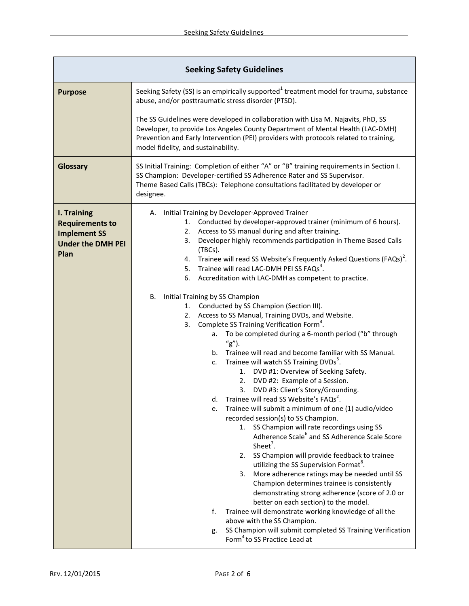| <b>Seeking Safety Guidelines</b>                                                                 |                                                                                                                                                                                                                                                                                                                                                                                                                                                                                                                                                                                                                                                                                                                                                                                                                                                                                                                                                                                                                                                                                                                                                                                                                                                                                                                                                                                                                                                                                                                                                                                                                                                                                                                                                                                                                                                                                    |  |
|--------------------------------------------------------------------------------------------------|------------------------------------------------------------------------------------------------------------------------------------------------------------------------------------------------------------------------------------------------------------------------------------------------------------------------------------------------------------------------------------------------------------------------------------------------------------------------------------------------------------------------------------------------------------------------------------------------------------------------------------------------------------------------------------------------------------------------------------------------------------------------------------------------------------------------------------------------------------------------------------------------------------------------------------------------------------------------------------------------------------------------------------------------------------------------------------------------------------------------------------------------------------------------------------------------------------------------------------------------------------------------------------------------------------------------------------------------------------------------------------------------------------------------------------------------------------------------------------------------------------------------------------------------------------------------------------------------------------------------------------------------------------------------------------------------------------------------------------------------------------------------------------------------------------------------------------------------------------------------------------|--|
| <b>Purpose</b>                                                                                   | Seeking Safety (SS) is an empirically supported <sup>1</sup> treatment model for trauma, substance<br>abuse, and/or posttraumatic stress disorder (PTSD).                                                                                                                                                                                                                                                                                                                                                                                                                                                                                                                                                                                                                                                                                                                                                                                                                                                                                                                                                                                                                                                                                                                                                                                                                                                                                                                                                                                                                                                                                                                                                                                                                                                                                                                          |  |
|                                                                                                  | The SS Guidelines were developed in collaboration with Lisa M. Najavits, PhD, SS<br>Developer, to provide Los Angeles County Department of Mental Health (LAC-DMH)<br>Prevention and Early Intervention (PEI) providers with protocols related to training,<br>model fidelity, and sustainability.                                                                                                                                                                                                                                                                                                                                                                                                                                                                                                                                                                                                                                                                                                                                                                                                                                                                                                                                                                                                                                                                                                                                                                                                                                                                                                                                                                                                                                                                                                                                                                                 |  |
| Glossary                                                                                         | SS Initial Training: Completion of either "A" or "B" training requirements in Section I.<br>SS Champion: Developer-certified SS Adherence Rater and SS Supervisor.<br>Theme Based Calls (TBCs): Telephone consultations facilitated by developer or<br>designee.                                                                                                                                                                                                                                                                                                                                                                                                                                                                                                                                                                                                                                                                                                                                                                                                                                                                                                                                                                                                                                                                                                                                                                                                                                                                                                                                                                                                                                                                                                                                                                                                                   |  |
| I. Training<br><b>Requirements to</b><br><b>Implement SS</b><br><b>Under the DMH PEI</b><br>Plan | Initial Training by Developer-Approved Trainer<br>А.<br>Conducted by developer-approved trainer (minimum of 6 hours).<br>1.<br>Access to SS manual during and after training.<br>2.<br>Developer highly recommends participation in Theme Based Calls<br>3.<br>(TBCs).<br>Trainee will read SS Website's Frequently Asked Questions (FAQs) <sup>2</sup> .<br>4.<br>Trainee will read LAC-DMH PEI SS FAQs <sup>3</sup> .<br>5.<br>Accreditation with LAC-DMH as competent to practice.<br>6.<br>В.<br>Initial Training by SS Champion<br>Conducted by SS Champion (Section III).<br>1.<br>Access to SS Manual, Training DVDs, and Website.<br>2.<br>Complete SS Training Verification Form <sup>4</sup> .<br>3.<br>To be completed during a 6-month period ("b" through<br>а.<br>$''g'$ ).<br>Trainee will read and become familiar with SS Manual.<br>b.<br>Trainee will watch SS Training DVDs <sup>5</sup> .<br>c.<br>1. DVD #1: Overview of Seeking Safety.<br>DVD #2: Example of a Session.<br>2.<br>DVD #3: Client's Story/Grounding.<br>3.<br>Trainee will read SS Website's FAQs <sup>2</sup> .<br>d.<br>Trainee will submit a minimum of one (1) audio/video<br>e.<br>recorded session(s) to SS Champion.<br>SS Champion will rate recordings using SS<br>1.<br>Adherence Scale <sup>6</sup> and SS Adherence Scale Score<br>Sheet <sup>7</sup> .<br>2. SS Champion will provide feedback to trainee<br>utilizing the SS Supervision Format <sup>8</sup> .<br>More adherence ratings may be needed until SS<br>3.<br>Champion determines trainee is consistently<br>demonstrating strong adherence (score of 2.0 or<br>better on each section) to the model.<br>f.<br>Trainee will demonstrate working knowledge of all the<br>above with the SS Champion.<br>SS Champion will submit completed SS Training Verification<br>g.<br>Form <sup>4</sup> to SS Practice Lead at |  |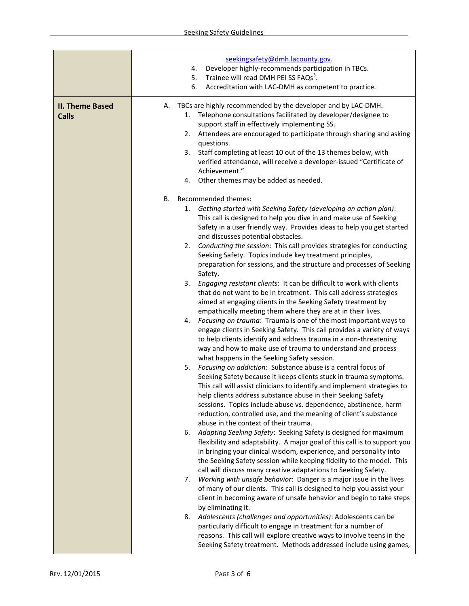|                                        | seekingsafety@dmh.lacounty.gov.<br>Developer highly-recommends participation in TBCs.<br>4.<br>Trainee will read DMH PEI SS FAQs <sup>3</sup> .<br>5.<br>Accreditation with LAC-DMH as competent to practice.<br>6.                                                                                                                                                                                                                                                                                                                                                                                                                                                                                                                                                                                                                                                                                                                                                                                                                                                                                                                                                                                                                                                                                                                                                                                                                                                                                                                                                                                                                                                                                                                                                                                                                                                                                                                                                                                                                                                                                                                                                                                                                                                                                                                                                                                                                                                                                                           |
|----------------------------------------|-------------------------------------------------------------------------------------------------------------------------------------------------------------------------------------------------------------------------------------------------------------------------------------------------------------------------------------------------------------------------------------------------------------------------------------------------------------------------------------------------------------------------------------------------------------------------------------------------------------------------------------------------------------------------------------------------------------------------------------------------------------------------------------------------------------------------------------------------------------------------------------------------------------------------------------------------------------------------------------------------------------------------------------------------------------------------------------------------------------------------------------------------------------------------------------------------------------------------------------------------------------------------------------------------------------------------------------------------------------------------------------------------------------------------------------------------------------------------------------------------------------------------------------------------------------------------------------------------------------------------------------------------------------------------------------------------------------------------------------------------------------------------------------------------------------------------------------------------------------------------------------------------------------------------------------------------------------------------------------------------------------------------------------------------------------------------------------------------------------------------------------------------------------------------------------------------------------------------------------------------------------------------------------------------------------------------------------------------------------------------------------------------------------------------------------------------------------------------------------------------------------------------------|
| <b>II. Theme Based</b><br><b>Calls</b> | A. TBCs are highly recommended by the developer and by LAC-DMH.<br>Telephone consultations facilitated by developer/designee to<br>1.<br>support staff in effectively implementing SS.<br>Attendees are encouraged to participate through sharing and asking<br>2.<br>questions.<br>Staff completing at least 10 out of the 13 themes below, with<br>3.<br>verified attendance, will receive a developer-issued "Certificate of<br>Achievement."<br>4. Other themes may be added as needed.                                                                                                                                                                                                                                                                                                                                                                                                                                                                                                                                                                                                                                                                                                                                                                                                                                                                                                                                                                                                                                                                                                                                                                                                                                                                                                                                                                                                                                                                                                                                                                                                                                                                                                                                                                                                                                                                                                                                                                                                                                   |
|                                        | Recommended themes:<br>В.<br>1. Getting started with Seeking Safety (developing an action plan):<br>This call is designed to help you dive in and make use of Seeking<br>Safety in a user friendly way. Provides ideas to help you get started<br>and discusses potential obstacles.<br>Conducting the session: This call provides strategies for conducting<br>2.<br>Seeking Safety. Topics include key treatment principles,<br>preparation for sessions, and the structure and processes of Seeking<br>Safety.<br>3.<br>Engaging resistant clients: It can be difficult to work with clients<br>that do not want to be in treatment. This call address strategies<br>aimed at engaging clients in the Seeking Safety treatment by<br>empathically meeting them where they are at in their lives.<br>Focusing on trauma: Trauma is one of the most important ways to<br>4.<br>engage clients in Seeking Safety. This call provides a variety of ways<br>to help clients identify and address trauma in a non-threatening<br>way and how to make use of trauma to understand and process<br>what happens in the Seeking Safety session.<br>Focusing on addiction: Substance abuse is a central focus of<br>5.<br>Seeking Safety because it keeps clients stuck in trauma symptoms.<br>This call will assist clinicians to identify and implement strategies to<br>help clients address substance abuse in their Seeking Safety<br>sessions. Topics include abuse vs. dependence, abstinence, harm<br>reduction, controlled use, and the meaning of client's substance<br>abuse in the context of their trauma.<br>Adapting Seeking Safety: Seeking Safety is designed for maximum<br>6.<br>flexibility and adaptability. A major goal of this call is to support you<br>in bringing your clinical wisdom, experience, and personality into<br>the Seeking Safety session while keeping fidelity to the model. This<br>call will discuss many creative adaptations to Seeking Safety.<br>Working with unsafe behavior: Danger is a major issue in the lives<br>7.<br>of many of our clients. This call is designed to help you assist your<br>client in becoming aware of unsafe behavior and begin to take steps<br>by eliminating it.<br>Adolescents (challenges and opportunities): Adolescents can be<br>8.<br>particularly difficult to engage in treatment for a number of<br>reasons. This call will explore creative ways to involve teens in the<br>Seeking Safety treatment. Methods addressed include using games, |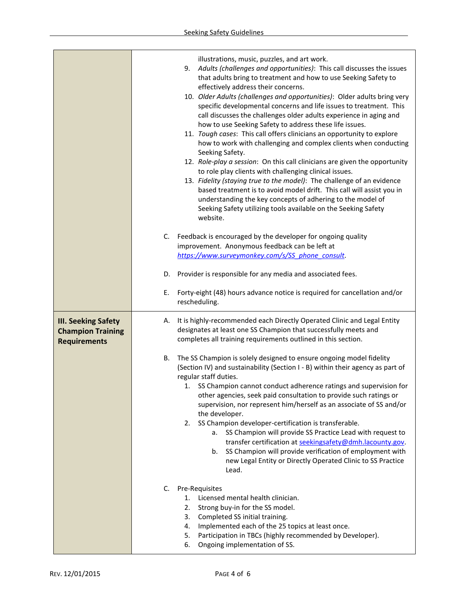|                                                                               | illustrations, music, puzzles, and art work.<br>9.<br>Adults (challenges and opportunities): This call discusses the issues<br>that adults bring to treatment and how to use Seeking Safety to<br>effectively address their concerns.<br>10. Older Adults (challenges and opportunities): Older adults bring very<br>specific developmental concerns and life issues to treatment. This<br>call discusses the challenges older adults experience in aging and<br>how to use Seeking Safety to address these life issues.<br>11. Tough cases: This call offers clinicians an opportunity to explore<br>how to work with challenging and complex clients when conducting<br>Seeking Safety.<br>12. Role-play a session: On this call clinicians are given the opportunity<br>to role play clients with challenging clinical issues.<br>13. Fidelity (staying true to the model): The challenge of an evidence<br>based treatment is to avoid model drift. This call will assist you in<br>understanding the key concepts of adhering to the model of<br>Seeking Safety utilizing tools available on the Seeking Safety<br>website.<br>C. Feedback is encouraged by the developer for ongoing quality<br>improvement. Anonymous feedback can be left at<br>https://www.surveymonkey.com/s/SS phone consult.<br>D. Provider is responsible for any media and associated fees.<br>Forty-eight (48) hours advance notice is required for cancellation and/or<br>Е.<br>rescheduling. |
|-------------------------------------------------------------------------------|-------------------------------------------------------------------------------------------------------------------------------------------------------------------------------------------------------------------------------------------------------------------------------------------------------------------------------------------------------------------------------------------------------------------------------------------------------------------------------------------------------------------------------------------------------------------------------------------------------------------------------------------------------------------------------------------------------------------------------------------------------------------------------------------------------------------------------------------------------------------------------------------------------------------------------------------------------------------------------------------------------------------------------------------------------------------------------------------------------------------------------------------------------------------------------------------------------------------------------------------------------------------------------------------------------------------------------------------------------------------------------------------------------------------------------------------------------------------------------|
| <b>III. Seeking Safety</b><br><b>Champion Training</b><br><b>Requirements</b> | It is highly-recommended each Directly Operated Clinic and Legal Entity<br>А.<br>designates at least one SS Champion that successfully meets and<br>completes all training requirements outlined in this section.                                                                                                                                                                                                                                                                                                                                                                                                                                                                                                                                                                                                                                                                                                                                                                                                                                                                                                                                                                                                                                                                                                                                                                                                                                                             |
|                                                                               | The SS Champion is solely designed to ensure ongoing model fidelity<br>В.<br>(Section IV) and sustainability (Section I - B) within their agency as part of<br>regular staff duties.<br>1. SS Champion cannot conduct adherence ratings and supervision for<br>other agencies, seek paid consultation to provide such ratings or<br>supervision, nor represent him/herself as an associate of SS and/or<br>the developer.<br>SS Champion developer-certification is transferable.<br>2.<br>SS Champion will provide SS Practice Lead with request to<br>а.<br>transfer certification at seekingsafety@dmh.lacounty.gov.<br>SS Champion will provide verification of employment with<br>b.<br>new Legal Entity or Directly Operated Clinic to SS Practice<br>Lead.                                                                                                                                                                                                                                                                                                                                                                                                                                                                                                                                                                                                                                                                                                             |
|                                                                               | Pre-Requisites<br>C.<br>Licensed mental health clinician.<br>1.<br>2.<br>Strong buy-in for the SS model.<br>Completed SS initial training.<br>3.<br>Implemented each of the 25 topics at least once.<br>4.<br>Participation in TBCs (highly recommended by Developer).<br>5.<br>Ongoing implementation of SS.<br>6.                                                                                                                                                                                                                                                                                                                                                                                                                                                                                                                                                                                                                                                                                                                                                                                                                                                                                                                                                                                                                                                                                                                                                           |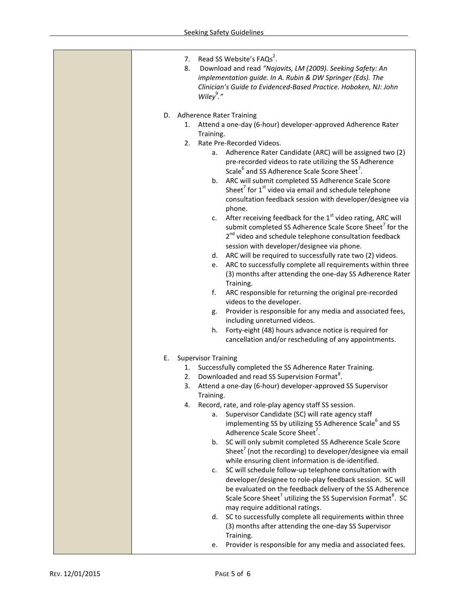| Read SS Website's FAQs <sup>2</sup> .<br>7.<br>Download and read "Najavits, LM (2009). Seeking Safety: An<br>8.<br>implementation guide. In A. Rubin & DW Springer (Eds). The<br>Clinician's Guide to Evidenced-Based Practice. Hoboken, NJ: John<br>Wiley $9.$ " |
|-------------------------------------------------------------------------------------------------------------------------------------------------------------------------------------------------------------------------------------------------------------------|
| D. Adherence Rater Training                                                                                                                                                                                                                                       |
| 1. Attend a one-day (6-hour) developer-approved Adherence Rater                                                                                                                                                                                                   |
| Training.                                                                                                                                                                                                                                                         |
| Rate Pre-Recorded Videos.<br>2.                                                                                                                                                                                                                                   |
| a. Adherence Rater Candidate (ARC) will be assigned two (2)                                                                                                                                                                                                       |
| pre-recorded videos to rate utilizing the SS Adherence                                                                                                                                                                                                            |
| Scale <sup>6</sup> and SS Adherence Scale Score Sheet <sup>7</sup> .                                                                                                                                                                                              |
| ARC will submit completed SS Adherence Scale Score<br>b.                                                                                                                                                                                                          |
| Sheet <sup>7</sup> for 1 <sup>st</sup> video via email and schedule telephone                                                                                                                                                                                     |
| consultation feedback session with developer/designee via                                                                                                                                                                                                         |
| phone.                                                                                                                                                                                                                                                            |
| After receiving feedback for the 1 <sup>st</sup> video rating, ARC will<br>c.<br>submit completed SS Adherence Scale Score Sheet <sup>7</sup> for the                                                                                                             |
| 2 <sup>nd</sup> video and schedule telephone consultation feedback                                                                                                                                                                                                |
| session with developer/designee via phone.                                                                                                                                                                                                                        |
| ARC will be required to successfully rate two (2) videos.<br>d.                                                                                                                                                                                                   |
| ARC to successfully complete all requirements within three<br>e.                                                                                                                                                                                                  |
| (3) months after attending the one-day SS Adherence Rater                                                                                                                                                                                                         |
| Training.                                                                                                                                                                                                                                                         |
| f.<br>ARC responsible for returning the original pre-recorded                                                                                                                                                                                                     |
| videos to the developer.                                                                                                                                                                                                                                          |
| Provider is responsible for any media and associated fees,<br>g.                                                                                                                                                                                                  |
| including unreturned videos.                                                                                                                                                                                                                                      |
| Forty-eight (48) hours advance notice is required for<br>h.<br>cancellation and/or rescheduling of any appointments.                                                                                                                                              |
|                                                                                                                                                                                                                                                                   |
| E.<br><b>Supervisor Training</b>                                                                                                                                                                                                                                  |
| Successfully completed the SS Adherence Rater Training.<br>1.                                                                                                                                                                                                     |
| Downloaded and read SS Supervision Format <sup>8</sup> .<br>2.                                                                                                                                                                                                    |
| Attend a one-day (6-hour) developer-approved SS Supervisor<br>3.                                                                                                                                                                                                  |
| Training.                                                                                                                                                                                                                                                         |
| Record, rate, and role-play agency staff SS session.<br>4.                                                                                                                                                                                                        |
| Supervisor Candidate (SC) will rate agency staff<br>a.                                                                                                                                                                                                            |
| implementing SS by utilizing SS Adherence Scale <sup>6</sup> and SS<br>Adherence Scale Score Sheet <sup>7</sup> .                                                                                                                                                 |
| SC will only submit completed SS Adherence Scale Score<br>b.                                                                                                                                                                                                      |
| Sheet <sup>7</sup> (not the recording) to developer/designee via email                                                                                                                                                                                            |
| while ensuring client information is de-identified.                                                                                                                                                                                                               |
| SC will schedule follow-up telephone consultation with<br>c.                                                                                                                                                                                                      |
| developer/designee to role-play feedback session. SC will                                                                                                                                                                                                         |
| be evaluated on the feedback delivery of the SS Adherence                                                                                                                                                                                                         |
| Scale Score Sheet <sup>7</sup> utilizing the SS Supervision Format <sup>8</sup> . SC                                                                                                                                                                              |
| may require additional ratings.                                                                                                                                                                                                                                   |
| SC to successfully complete all requirements within three<br>d.                                                                                                                                                                                                   |
| (3) months after attending the one-day SS Supervisor                                                                                                                                                                                                              |
| Training.<br>Provider is responsible for any media and associated fees.                                                                                                                                                                                           |
| e.                                                                                                                                                                                                                                                                |